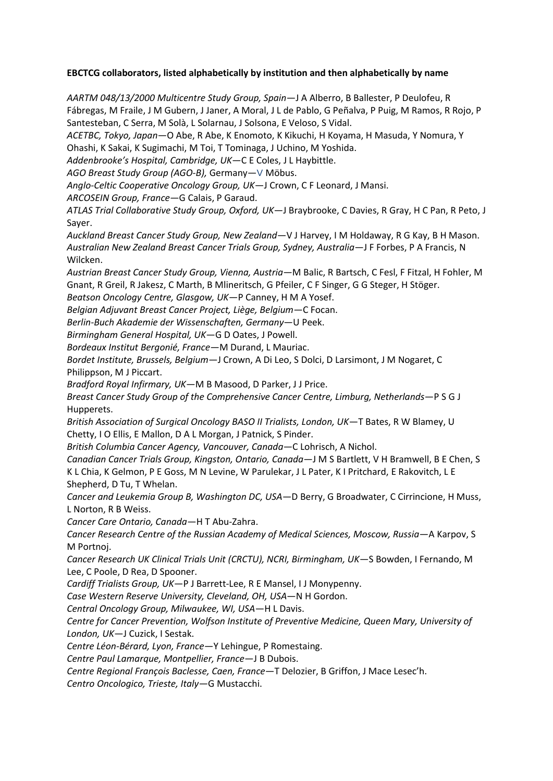## **EBCTCG collaborators, listed alphabetically by institution and then alphabetically by name**

*AARTM 048/13/2000 Multicentre Study Group, Spain*—J A Alberro, B Ballester, P Deulofeu, R Fábregas, M Fraile, J M Gubern, J Janer, A Moral, J L de Pablo, G Peñalva, P Puig, M Ramos, R Rojo, P Santesteban, C Serra, M Solà, L Solarnau, J Solsona, E Veloso, S Vidal.

*ACETBC, Tokyo, Japan*—O Abe, R Abe, K Enomoto, K Kikuchi, H Koyama, H Masuda, Y Nomura, Y Ohashi, K Sakai, K Sugimachi, M Toi, T Tominaga, J Uchino, M Yoshida.

*Addenbrooke's Hospital, Cambridge, UK*—C E Coles, J L Haybittle.

*AGO Breast Study Group (AGO-B),* Germany—V Möbus.

*Anglo-Celtic Cooperative Oncology Group, UK*—J Crown, C F Leonard, J Mansi.

*ARCOSEIN Group, France*—G Calais, P Garaud.

*ATLAS Trial Collaborative Study Group, Oxford, UK*—J Braybrooke, C Davies, R Gray, H C Pan, R Peto, J Sayer.

*Auckland Breast Cancer Study Group, New Zealand*—V J Harvey, I M Holdaway, R G Kay, B H Mason. *Australian New Zealand Breast Cancer Trials Group, Sydney, Australia*—J F Forbes, P A Francis, N Wilcken.

*Austrian Breast Cancer Study Group, Vienna, Austria—*M Balic, R Bartsch, C Fesl, F Fitzal, H Fohler, M Gnant, R Greil, R Jakesz, C Marth, B Mlineritsch, G Pfeiler, C F Singer, G G Steger, H Stöger.

*Beatson Oncology Centre, Glasgow, UK*—P Canney, H M A Yosef.

*Belgian Adjuvant Breast Cancer Project, Liège, Belgium*—C Focan.

*Berlin-Buch Akademie der Wissenschaften, Germany*—U Peek.

*Birmingham General Hospital, UK*—G D Oates, J Powell.

*Bordeaux Institut Bergonié, France*—M Durand, L Mauriac.

*Bordet Institute, Brussels, Belgium*—J Crown, A Di Leo, S Dolci, D Larsimont, J M Nogaret, C Philippson, M J Piccart.

*Bradford Royal Infirmary, UK*—M B Masood, D Parker, J J Price.

*Breast Cancer Study Group of the Comprehensive Cancer Centre, Limburg, Netherlands*—P S G J Hupperets.

*British Association of Surgical Oncology BASO II Trialists, London, UK*—T Bates, R W Blamey, U Chetty, I O Ellis, E Mallon, D A L Morgan, J Patnick, S Pinder.

*British Columbia Cancer Agency, Vancouver, Canada*—C Lohrisch, A Nichol.

*Canadian Cancer Trials Group, Kingston, Ontario, Canada*—J M S Bartlett, V H Bramwell, B E Chen, S K L Chia, K Gelmon, P E Goss, M N Levine, W Parulekar, J L Pater, K I Pritchard, E Rakovitch, L E Shepherd, D Tu, T Whelan.

*Cancer and Leukemia Group B, Washington DC, USA*—D Berry, G Broadwater, C Cirrincione, H Muss, L Norton, R B Weiss.

*Cancer Care Ontario, Canada*—H T Abu-Zahra.

*Cancer Research Centre of the Russian Academy of Medical Sciences, Moscow, Russia*—A Karpov, S M Portnoj.

*Cancer Research UK Clinical Trials Unit (CRCTU), NCRI, Birmingham, UK*—S Bowden, I Fernando, M Lee, C Poole, D Rea, D Spooner.

*Cardiff Trialists Group, UK*—P J Barrett-Lee, R E Mansel, I J Monypenny.

*Case Western Reserve University, Cleveland, OH, USA*—N H Gordon.

*Central Oncology Group, Milwaukee, WI, USA*—H L Davis.

*Centre for Cancer Prevention, Wolfson Institute of Preventive Medicine, Queen Mary, University of London, UK*—J Cuzick, I Sestak.

*Centre Léon-Bérard, Lyon, France*—Y Lehingue, P Romestaing.

*Centre Paul Lamarque, Montpellier, France*—J B Dubois.

*Centre Regional François Baclesse, Caen, France*—T Delozier, B Griffon, J Mace Lesec'h.

*Centro Oncologico, Trieste, Italy*—G Mustacchi.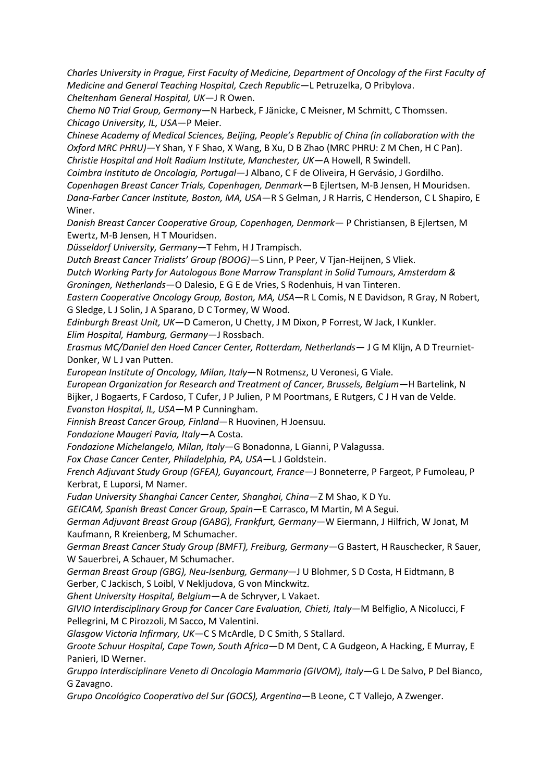*Charles University in Prague, First Faculty of Medicine, Department of Oncology of the First Faculty of Medicine and General Teaching Hospital, Czech Republic*—L Petruzelka, O Pribylova. *Cheltenham General Hospital, UK*—J R Owen.

*Chemo N0 Trial Group, Germany*—N Harbeck, F Jänicke, C Meisner, M Schmitt, C Thomssen. *Chicago University, IL, USA*—P Meier.

*Chinese Academy of Medical Sciences, Beijing, People's Republic of China (in collaboration with the Oxford MRC PHRU)*—Y Shan, Y F Shao, X Wang, B Xu, D B Zhao (MRC PHRU: Z M Chen, H C Pan). *Christie Hospital and Holt Radium Institute, Manchester, UK*—A Howell, R Swindell.

*Coimbra Instituto de Oncologia, Portugal*—J Albano, C F de Oliveira, H Gervásio, J Gordilho. *Copenhagen Breast Cancer Trials, Copenhagen, Denmark*—B Ejlertsen, M-B Jensen, H Mouridsen. *Dana-Farber Cancer Institute, Boston, MA, USA*—R S Gelman, J R Harris, C Henderson, C L Shapiro, E Winer.

*Danish Breast Cancer Cooperative Group, Copenhagen, Denmark*— P Christiansen, B Ejlertsen, M Ewertz, M-B Jensen, H T Mouridsen.

*Düsseldorf University, Germany*—T Fehm, H J Trampisch.

*Dutch Breast Cancer Trialists' Group (BOOG)—*S Linn, P Peer, V Tjan-Heijnen, S Vliek.

*Dutch Working Party for Autologous Bone Marrow Transplant in Solid Tumours, Amsterdam & Groningen, Netherlands*—O Dalesio, E G E de Vries, S Rodenhuis, H van Tinteren.

*Eastern Cooperative Oncology Group, Boston, MA, USA*—R L Comis, N E Davidson, R Gray, N Robert, G Sledge, L J Solin, J A Sparano, D C Tormey, W Wood.

*Edinburgh Breast Unit, UK*—D Cameron, U Chetty, J M Dixon, P Forrest, W Jack, I Kunkler. *Elim Hospital, Hamburg, Germany*—J Rossbach.

*Erasmus MC/Daniel den Hoed Cancer Center, Rotterdam, Netherlands*— J G M Klijn, A D Treurniet-Donker, W L J van Putten.

*European Institute of Oncology, Milan, Italy*—N Rotmensz, U Veronesi, G Viale.

*European Organization for Research and Treatment of Cancer, Brussels, Belgium*—H Bartelink, N Bijker, J Bogaerts, F Cardoso, T Cufer, J P Julien, P M Poortmans, E Rutgers, C J H van de Velde. *Evanston Hospital, IL, USA*—M P Cunningham.

*Finnish Breast Cancer Group, Finland*—R Huovinen, H Joensuu.

*Fondazione Maugeri Pavia, Italy*—A Costa.

*Fondazione Michelangelo, Milan, Italy*—G Bonadonna, L Gianni, P Valagussa.

*Fox Chase Cancer Center, Philadelphia, PA, USA*—L J Goldstein.

*French Adjuvant Study Group (GFEA), Guyancourt, France*—J Bonneterre, P Fargeot, P Fumoleau, P Kerbrat, E Luporsi, M Namer.

*Fudan University Shanghai Cancer Center, Shanghai, China—*Z M Shao, K D Yu.

*GEICAM, Spanish Breast Cancer Group, Spain*—E Carrasco, M Martin, M A Segui.

*German Adjuvant Breast Group (GABG), Frankfurt, Germany*—W Eiermann, J Hilfrich, W Jonat, M Kaufmann, R Kreienberg, M Schumacher.

*German Breast Cancer Study Group (BMFT), Freiburg, Germany*—G Bastert, H Rauschecker, R Sauer, W Sauerbrei, A Schauer, M Schumacher.

*German Breast Group (GBG), Neu-Isenburg, Germany*—J U Blohmer, S D Costa, H Eidtmann, B Gerber, C Jackisch, S Loibl, V Nekljudova, G von Minckwitz.

*Ghent University Hospital, Belgium*—A de Schryver, L Vakaet.

*GIVIO Interdisciplinary Group for Cancer Care Evaluation, Chieti, Italy*—M Belfiglio, A Nicolucci, F Pellegrini, M C Pirozzoli, M Sacco, M Valentini.

*Glasgow Victoria Infirmary, UK*—C S McArdle, D C Smith, S Stallard.

*Groote Schuur Hospital, Cape Town, South Africa*—D M Dent, C A Gudgeon, A Hacking, E Murray, E Panieri, ID Werner.

*Gruppo Interdisciplinare Veneto di Oncologia Mammaria (GIVOM), Italy*—G L De Salvo, P Del Bianco, G Zavagno.

*Grupo Oncológico Cooperativo del Sur (GOCS), Argentina—*B Leone, C T Vallejo, A Zwenger.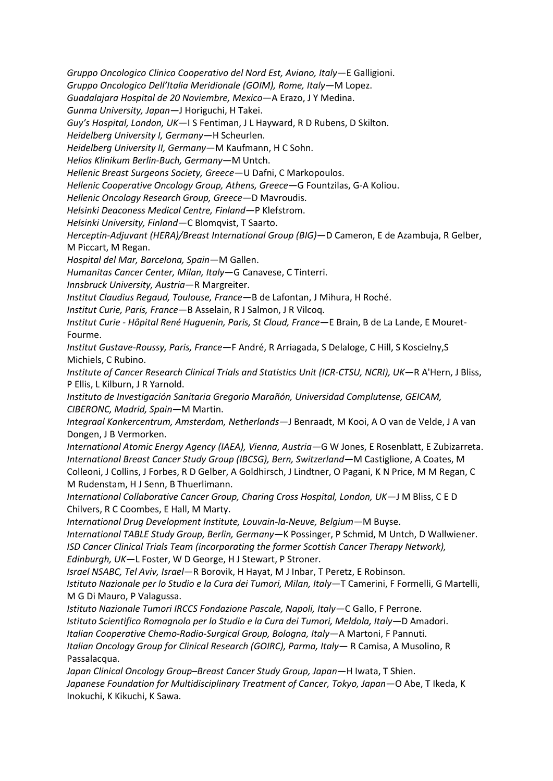*Gruppo Oncologico Clinico Cooperativo del Nord Est, Aviano, Italy*—E Galligioni.

*Gruppo Oncologico Dell'Italia Meridionale (GOIM), Rome, Italy*—M Lopez.

*Guadalajara Hospital de 20 Noviembre, Mexico*—A Erazo, J Y Medina.

*Gunma University, Japan*—J Horiguchi, H Takei.

*Guy's Hospital, London, UK*—I S Fentiman, J L Hayward, R D Rubens, D Skilton.

*Heidelberg University I, Germany*—H Scheurlen.

*Heidelberg University II, Germany*—M Kaufmann, H C Sohn.

*Helios Klinikum Berlin-Buch, Germany*—M Untch.

*Hellenic Breast Surgeons Society, Greece*—U Dafni, C Markopoulos.

*Hellenic Cooperative Oncology Group, Athens, Greece*—G Fountzilas, G-A Koliou.

*Hellenic Oncology Research Group, Greece*—D Mavroudis.

*Helsinki Deaconess Medical Centre, Finland*—P Klefstrom.

*Helsinki University, Finland*—C Blomqvist, T Saarto.

*Herceptin-Adjuvant (HERA)/Breast International Group (BIG)*—D Cameron, E de Azambuja, R Gelber, M Piccart, M Regan.

*Hospital del Mar, Barcelona, Spain*—M Gallen.

*Humanitas Cancer Center, Milan, Italy*—G Canavese, C Tinterri.

*Innsbruck University, Austria*—R Margreiter.

*Institut Claudius Regaud, Toulouse, France*—B de Lafontan, J Mihura, H Roché.

*Institut Curie, Paris, France*—B Asselain, R J Salmon, J R Vilcoq.

*Institut Curie - Hôpital René Huguenin, Paris, St Cloud, France*—E Brain, B de La Lande, E Mouret-Fourme.

*Institut Gustave-Roussy, Paris, France*—F André, R Arriagada, S Delaloge, C Hill, S Koscielny,S Michiels, C Rubino.

*Institute of Cancer Research Clinical Trials and Statistics Unit (ICR-CTSU, NCRI), UK*—R A'Hern, J Bliss, P Ellis, L Kilburn, J R Yarnold.

*Instituto de Investigación Sanitaria Gregorio Marañón, Universidad Complutense, GEICAM, CIBERONC, Madrid, Spain*—M Martin.

*Integraal Kankercentrum, Amsterdam, Netherlands*—J Benraadt, M Kooi, A O van de Velde, J A van Dongen, J B Vermorken.

*International Atomic Energy Agency (IAEA), Vienna, Austria—*G W Jones, E Rosenblatt, E Zubizarreta. *International Breast Cancer Study Group (IBCSG), Bern, Switzerland*—M Castiglione, A Coates, M Colleoni, J Collins, J Forbes, R D Gelber, A Goldhirsch, J Lindtner, O Pagani, K N Price, M M Regan, C M Rudenstam, H J Senn, B Thuerlimann.

*International Collaborative Cancer Group, Charing Cross Hospital, London, UK*—J M Bliss, C E D Chilvers, R C Coombes, E Hall, M Marty.

*International Drug Development Institute, Louvain-la-Neuve, Belgium*—M Buyse.

*International TABLE Study Group, Berlin, Germany*—K Possinger, P Schmid, M Untch, D Wallwiener. *ISD Cancer Clinical Trials Team (incorporating the former Scottish Cancer Therapy Network), Edinburgh, UK*—L Foster, W D George, H J Stewart, P Stroner.

*Israel NSABC, Tel Aviv, Israel*—R Borovik, H Hayat, M J Inbar, T Peretz, E Robinson.

*Istituto Nazionale per lo Studio e la Cura dei Tumori, Milan, Italy*—T Camerini, F Formelli, G Martelli, M G Di Mauro, P Valagussa.

*Istituto Nazionale Tumori IRCCS Fondazione Pascale, Napoli, Italy—*C Gallo, F Perrone.

*Istituto Scientifico Romagnolo per lo Studio e la Cura dei Tumori, Meldola, Italy—*D Amadori.

*Italian Cooperative Chemo-Radio-Surgical Group, Bologna, Italy*—A Martoni, F Pannuti.

*Italian Oncology Group for Clinical Research (GOIRC), Parma, Italy*— R Camisa, A Musolino, R Passalacqua.

*Japan Clinical Oncology Group–Breast Cancer Study Group, Japan*—H Iwata, T Shien. *Japanese Foundation for Multidisciplinary Treatment of Cancer, Tokyo, Japan*—O Abe, T Ikeda, K Inokuchi, K Kikuchi, K Sawa.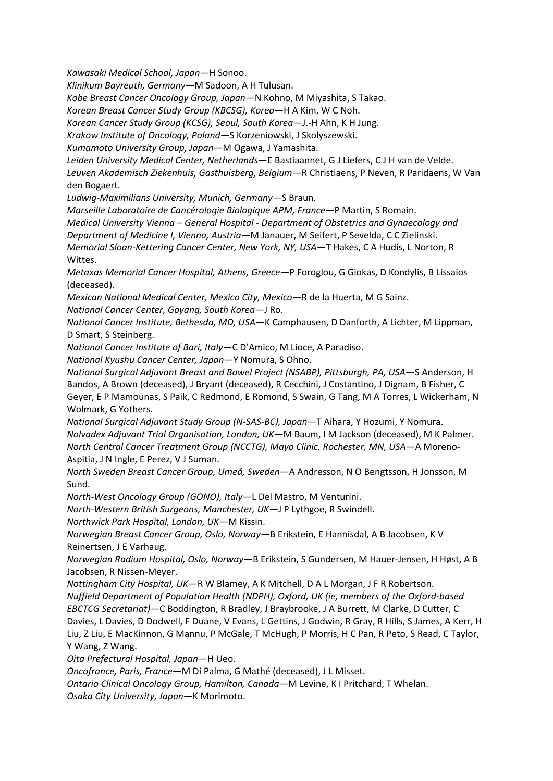*Kawasaki Medical School, Japan*—H Sonoo.

*Klinikum Bayreuth, Germany—*M Sadoon, A H Tulusan.

*Kobe Breast Cancer Oncology Group, Japan—*N Kohno, M Miyashita, S Takao.

*Korean Breast Cancer Study Group (KBCSG), Korea—*H A Kim, W C Noh.

*Korean Cancer Study Group (KCSG), Seoul, South Korea*—J.-H Ahn, K H Jung.

*Krakow Institute of Oncology, Poland*—S Korzeniowski, J Skolyszewski.

*Kumamoto University Group, Japan*—M Ogawa, J Yamashita.

*Leiden University Medical Center, Netherlands*—E Bastiaannet, G J Liefers, C J H van de Velde. *Leuven Akademisch Ziekenhuis, Gasthuisberg, Belgium*—R Christiaens, P Neven, R Paridaens, W Van den Bogaert.

*Ludwig-Maximilians University, Munich, Germany*—S Braun.

*Marseille Laboratoire de Cancérologie Biologique APM, France*—P Martin, S Romain.

*Medical University Vienna – General Hospital - Department of Obstetrics and Gynaecology and Department of Medicine I, Vienna, Austria*—M Janauer, M Seifert, P Sevelda, C C Zielinski.

*Memorial Sloan-Kettering Cancer Center, New York, NY, USA*—T Hakes, C A Hudis, L Norton, R Wittes.

*Metaxas Memorial Cancer Hospital, Athens, Greece*—P Foroglou, G Giokas, D Kondylis, B Lissaios (deceased).

*Mexican National Medical Center, Mexico City, Mexico*—R de la Huerta, M G Sainz.

*National Cancer Center, Goyang, South Korea*—J Ro.

*National Cancer Institute, Bethesda, MD, USA—*K Camphausen, D Danforth, A Lichter, M Lippman, D Smart, S Steinberg.

*National Cancer Institute of Bari, Italy*—C D'Amico, M Lioce, A Paradiso.

*National Kyushu Cancer Center, Japan*—Y Nomura, S Ohno.

*National Surgical Adjuvant Breast and Bowel Project (NSABP), Pittsburgh, PA, USA*—S Anderson, H Bandos, A Brown (deceased), J Bryant (deceased), R Cecchini, J Costantino, J Dignam, B Fisher, C Geyer, E P Mamounas, S Paik, C Redmond, E Romond, S Swain, G Tang, M A Torres, L Wickerham, N Wolmark, G Yothers.

*National Surgical Adjuvant Study Group (N-SAS-BC), Japan*—T Aihara, Y Hozumi, Y Nomura. *Nolvadex Adjuvant Trial Organisation, London, UK*—M Baum, I M Jackson (deceased), M K Palmer. *North Central Cancer Treatment Group (NCCTG), Mayo Clinic, Rochester, MN, USA*—A Moreno-Aspitia, J N Ingle, E Perez, V J Suman.

*North Sweden Breast Cancer Group, Umeå, Sweden*—A Andresson, N O Bengtsson, H Jonsson, M Sund.

*North-West Oncology Group (GONO), Italy*—L Del Mastro, M Venturini.

*North-Western British Surgeons, Manchester, UK*—J P Lythgoe, R Swindell.

*Northwick Park Hospital, London, UK*—M Kissin.

*Norwegian Breast Cancer Group, Oslo, Norway*—B Erikstein, E Hannisdal, A B Jacobsen, K V Reinertsen, J E Varhaug.

*Norwegian Radium Hospital, Oslo, Norway*—B Erikstein, S Gundersen, M Hauer-Jensen, H Høst, A B Jacobsen, R Nissen-Meyer.

*Nottingham City Hospital, UK*—R W Blamey, A K Mitchell, D A L Morgan, J F R Robertson. *Nuffield Department of Population Health (NDPH), Oxford, UK (ie, members of the Oxford-based EBCTCG Secretariat)*—C Boddington, R Bradley, J Braybrooke, J A Burrett, M Clarke, D Cutter, C Davies, L Davies, D Dodwell, F Duane, V Evans, L Gettins, J Godwin, R Gray, R Hills, S James, A Kerr, H Liu, Z Liu, E MacKinnon, G Mannu, P McGale, T McHugh, P Morris, H C Pan, R Peto, S Read, C Taylor,

Y Wang, Z Wang.

*Oita Prefectural Hospital, Japan*—H Ueo.

*Oncofrance, Paris, France*—M Di Palma, G Mathé (deceased), J L Misset.

*Ontario Clinical Oncology Group, Hamilton, Canada*—M Levine, K I Pritchard, T Whelan.

*Osaka City University, Japan*—K Morimoto.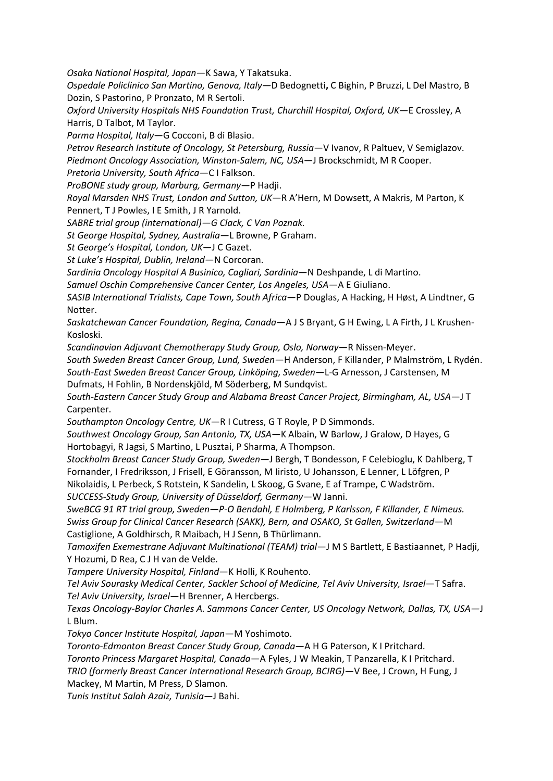*Osaka National Hospital, Japan*—K Sawa, Y Takatsuka.

*Ospedale Policlinico San Martino, Genova, Italy—*D Bedognetti**,** C Bighin, P Bruzzi, L Del Mastro, B Dozin, S Pastorino, P Pronzato, M R Sertoli.

*Oxford University Hospitals NHS Foundation Trust, Churchill Hospital, Oxford, UK*—E Crossley, A Harris, D Talbot, M Taylor.

*Parma Hospital, Italy*—G Cocconi, B di Blasio.

*Petrov Research Institute of Oncology, St Petersburg, Russia*—V Ivanov, R Paltuev, V Semiglazov. *Piedmont Oncology Association, Winston-Salem, NC, USA*—J Brockschmidt, M R Cooper.

*Pretoria University, South Africa*—C I Falkson.

*ProBONE study group, Marburg, Germany—*P Hadji.

*Royal Marsden NHS Trust, London and Sutton, UK*—R A'Hern, M Dowsett, A Makris, M Parton, K Pennert, T J Powles, I E Smith, J R Yarnold.

*SABRE trial group (international)—G Clack, C Van Poznak.*

*St George Hospital, Sydney, Australia*—L Browne, P Graham.

*St George's Hospital, London, UK*—J C Gazet.

*St Luke's Hospital, Dublin, Ireland*—N Corcoran.

*Sardinia Oncology Hospital A Businico, Cagliari, Sardinia*—N Deshpande, L di Martino.

*Samuel Oschin Comprehensive Cancer Center, Los Angeles, USA—*A E Giuliano.

*SASIB International Trialists, Cape Town, South Africa*—P Douglas, A Hacking, H Høst, A Lindtner, G Notter.

*Saskatchewan Cancer Foundation, Regina, Canada*—A J S Bryant, G H Ewing, L A Firth, J L Krushen-Kosloski.

*Scandinavian Adjuvant Chemotherapy Study Group, Oslo, Norway*—R Nissen-Meyer.

*South Sweden Breast Cancer Group, Lund, Sweden*—H Anderson, F Killander, P Malmström, L Rydén. *South-East Sweden Breast Cancer Group, Linköping, Sweden*—L-G Arnesson, J Carstensen, M

Dufmats, H Fohlin, B Nordenskjöld, M Söderberg, M Sundqvist.

*South-Eastern Cancer Study Group and Alabama Breast Cancer Project, Birmingham, AL, USA*—J T Carpenter.

*Southampton Oncology Centre, UK*—R I Cutress, G T Royle, P D Simmonds.

*Southwest Oncology Group, San Antonio, TX, USA*—K Albain, W Barlow, J Gralow, D Hayes, G Hortobagyi, R Jagsi, S Martino, L Pusztai, P Sharma, A Thompson.

*Stockholm Breast Cancer Study Group, Sweden*—J Bergh, T Bondesson, F Celebioglu, K Dahlberg, T Fornander, I Fredriksson, J Frisell, E Göransson, M Iiristo, U Johansson, E Lenner, L Löfgren, P Nikolaidis, L Perbeck, S Rotstein, K Sandelin, L Skoog, G Svane, E af Trampe, C Wadström.

*SUCCESS-Study Group, University of Düsseldorf, Germany*—W Janni.

*SweBCG 91 RT trial group, Sweden—P-O Bendahl, E Holmberg, P Karlsson, F Killander, E Nimeus. Swiss Group for Clinical Cancer Research (SAKK), Bern, and OSAKO, St Gallen, Switzerland*—M Castiglione, A Goldhirsch, R Maibach, H J Senn, B Thürlimann.

*Tamoxifen Exemestrane Adjuvant Multinational (TEAM) trial*—J M S Bartlett, E Bastiaannet, P Hadji, Y Hozumi, D Rea, C J H van de Velde.

*Tampere University Hospital, Finland*—K Holli, K Rouhento.

*Tel Aviv Sourasky Medical Center, Sackler School of Medicine, Tel Aviv University, Israel*—T Safra. *Tel Aviv University, Israel*—H Brenner, A Hercbergs.

*Texas Oncology-Baylor Charles A. Sammons Cancer Center, US Oncology Network, Dallas, TX, USA—*J L Blum.

*Tokyo Cancer Institute Hospital, Japan*—M Yoshimoto.

*Toronto-Edmonton Breast Cancer Study Group, Canada*—A H G Paterson, K I Pritchard.

*Toronto Princess Margaret Hospital, Canada*—A Fyles, J W Meakin, T Panzarella, K I Pritchard.

*TRIO (formerly Breast Cancer International Research Group, BCIRG)*—V Bee, J Crown, H Fung, J Mackey, M Martin, M Press, D Slamon.

*Tunis Institut Salah Azaiz, Tunisia*—J Bahi.